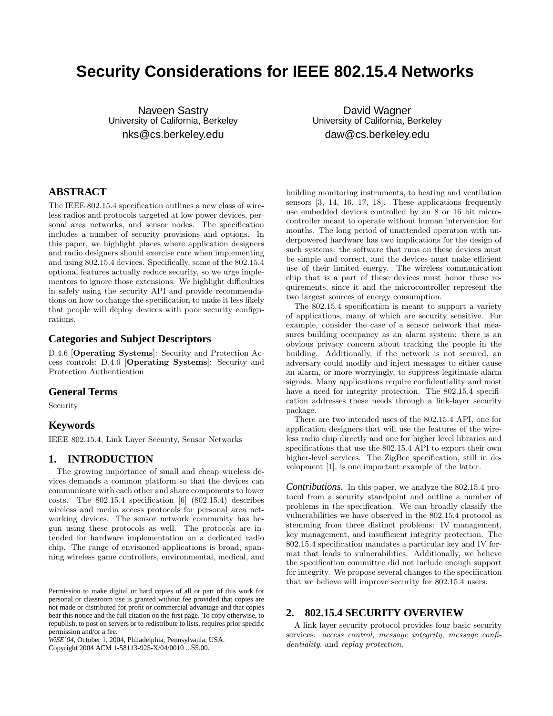# **Security Considerations for IEEE 802.15.4 Networks**

Naveen Sastry University of California, Berkeley nks@cs.berkeley.edu

David Wagner University of California, Berkeley daw@cs.berkeley.edu

# **ABSTRACT**

The IEEE 802.15.4 specification outlines a new class of wireless radios and protocols targeted at low power devices, personal area networks, and sensor nodes. The specification includes a number of security provisions and options. In this paper, we highlight places where application designers and radio designers should exercise care when implementing and using 802.15.4 devices. Specifically, some of the 802.15.4 optional features actually reduce security, so we urge implementors to ignore those extensions. We highlight difficulties in safely using the security API and provide recommendations on how to change the specification to make it less likely that people will deploy devices with poor security configurations.

# **Categories and Subject Descriptors**

D.4.6 [Operating Systems]: Security and Protection Access controls; D.4.6 [Operating Systems]: Security and Protection Authentication

# **General Terms**

Security

# **Keywords**

IEEE 802.15.4, Link Layer Security, Sensor Networks

# **1. INTRODUCTION**

The growing importance of small and cheap wireless devices demands a common platform so that the devices can communicate with each other and share components to lower costs. The 802.15.4 specification [6] (802.15.4) describes wireless and media access protocols for personal area networking devices. The sensor network community has begun using these protocols as well. The protocols are intended for hardware implementation on a dedicated radio chip. The range of envisioned applications is broad, spanning wireless game controllers, environmental, medical, and

*WiSE'04,* October 1, 2004, Philadelphia, Pennsylvania, USA.

Copyright 2004 ACM 1-58113-925-X/04/0010 ...\$5.00.

building monitoring instruments, to heating and ventilation sensors [3, 14, 16, 17, 18]. These applications frequently use embedded devices controlled by an 8 or 16 bit microcontroller meant to operate without human intervention for months. The long period of unattended operation with underpowered hardware has two implications for the design of such systems: the software that runs on these devices must be simple and correct, and the devices must make efficient use of their limited energy. The wireless communication chip that is a part of these devices must honor these requirements, since it and the microcontroller represent the two largest sources of energy consumption.

The 802.15.4 specification is meant to support a variety of applications, many of which are security sensitive. For example, consider the case of a sensor network that measures building occupancy as an alarm system: there is an obvious privacy concern about tracking the people in the building. Additionally, if the network is not secured, an adversary could modify and inject messages to either cause an alarm, or more worryingly, to suppress legitimate alarm signals. Many applications require confidentiality and most have a need for integrity protection. The  $802.15.4$  specification addresses these needs through a link-layer security package.

There are two intended uses of the 802.15.4 API, one for application designers that will use the features of the wireless radio chip directly and one for higher level libraries and specifications that use the 802.15.4 API to export their own higher-level services. The ZigBee specification, still in development [1], is one important example of the latter.

*Contributions.* In this paper, we analyze the 802.15.4 protocol from a security standpoint and outline a number of problems in the specification. We can broadly classify the vulnerabilities we have observed in the 802.15.4 protocol as stemming from three distinct problems: IV management, key management, and insufficient integrity protection. The 802.15.4 specification mandates a particular key and IV format that leads to vulnerabilities. Additionally, we believe the specification committee did not include enough support for integrity. We propose several changes to the specification that we believe will improve security for 802.15.4 users.

# **2. 802.15.4 SECURITY OVERVIEW**

A link layer security protocol provides four basic security services: access control, message integrity, message confidentiality, and replay protection.

Permission to make digital or hard copies of all or part of this work for personal or classroom use is granted without fee provided that copies are not made or distributed for profit or commercial advantage and that copies bear this notice and the full citation on the first page. To copy otherwise, to republish, to post on servers or to redistribute to lists, requires prior specific permission and/or a fee.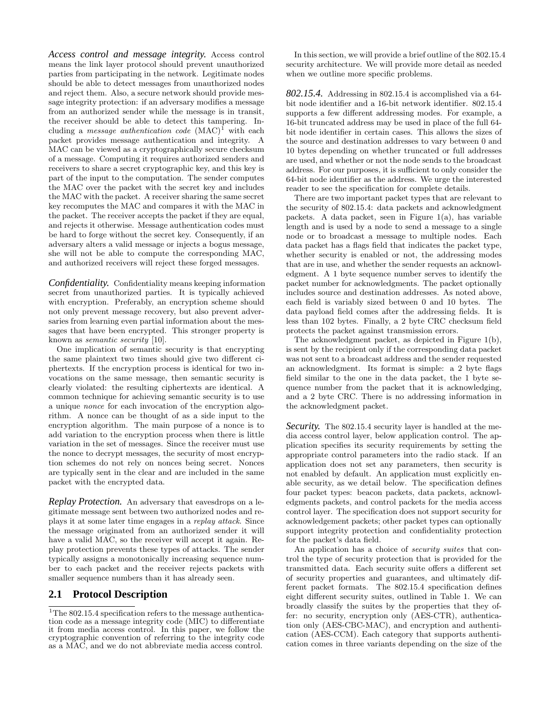*Access control and message integrity.* Access control means the link layer protocol should prevent unauthorized parties from participating in the network. Legitimate nodes should be able to detect messages from unauthorized nodes and reject them. Also, a secure network should provide message integrity protection: if an adversary modifies a message from an authorized sender while the message is in transit, the receiver should be able to detect this tampering. Including a message authentication code  $(MAC)^1$  with each packet provides message authentication and integrity. A MAC can be viewed as a cryptographically secure checksum of a message. Computing it requires authorized senders and receivers to share a secret cryptographic key, and this key is part of the input to the computation. The sender computes the MAC over the packet with the secret key and includes the MAC with the packet. A receiver sharing the same secret key recomputes the MAC and compares it with the MAC in the packet. The receiver accepts the packet if they are equal, and rejects it otherwise. Message authentication codes must be hard to forge without the secret key. Consequently, if an adversary alters a valid message or injects a bogus message, she will not be able to compute the corresponding MAC, and authorized receivers will reject these forged messages.

*Confidentiality.* Confidentiality means keeping information secret from unauthorized parties. It is typically achieved with encryption. Preferably, an encryption scheme should not only prevent message recovery, but also prevent adversaries from learning even partial information about the messages that have been encrypted. This stronger property is known as semantic security [10].

One implication of semantic security is that encrypting the same plaintext two times should give two different ciphertexts. If the encryption process is identical for two invocations on the same message, then semantic security is clearly violated: the resulting ciphertexts are identical. A common technique for achieving semantic security is to use a unique nonce for each invocation of the encryption algorithm. A nonce can be thought of as a side input to the encryption algorithm. The main purpose of a nonce is to add variation to the encryption process when there is little variation in the set of messages. Since the receiver must use the nonce to decrypt messages, the security of most encryption schemes do not rely on nonces being secret. Nonces are typically sent in the clear and are included in the same packet with the encrypted data.

*Replay Protection.* An adversary that eavesdrops on a legitimate message sent between two authorized nodes and replays it at some later time engages in a replay attack. Since the message originated from an authorized sender it will have a valid MAC, so the receiver will accept it again. Replay protection prevents these types of attacks. The sender typically assigns a monotonically increasing sequence number to each packet and the receiver rejects packets with smaller sequence numbers than it has already seen.

## **2.1 Protocol Description**

In this section, we will provide a brief outline of the 802.15.4 security architecture. We will provide more detail as needed when we outline more specific problems.

*802.15.4.* Addressing in 802.15.4 is accomplished via a 64 bit node identifier and a 16-bit network identifier. 802.15.4 supports a few different addressing modes. For example, a 16-bit truncated address may be used in place of the full 64 bit node identifier in certain cases. This allows the sizes of the source and destination addresses to vary between 0 and 10 bytes depending on whether truncated or full addresses are used, and whether or not the node sends to the broadcast address. For our purposes, it is sufficient to only consider the 64-bit node identifier as the address. We urge the interested reader to see the specification for complete details.

There are two important packet types that are relevant to the security of 802.15.4: data packets and acknowledgment packets. A data packet, seen in Figure 1(a), has variable length and is used by a node to send a message to a single node or to broadcast a message to multiple nodes. Each data packet has a flags field that indicates the packet type, whether security is enabled or not, the addressing modes that are in use, and whether the sender requests an acknowledgment. A 1 byte sequence number serves to identify the packet number for acknowledgments. The packet optionally includes source and destination addresses. As noted above, each field is variably sized between 0 and 10 bytes. The data payload field comes after the addressing fields. It is less than 102 bytes. Finally, a 2 byte CRC checksum field protects the packet against transmission errors.

The acknowledgment packet, as depicted in Figure 1(b), is sent by the recipient only if the corresponding data packet was not sent to a broadcast address and the sender requested an acknowledgment. Its format is simple: a 2 byte flags field similar to the one in the data packet, the 1 byte sequence number from the packet that it is acknowledging, and a 2 byte CRC. There is no addressing information in the acknowledgment packet.

*Security.* The 802.15.4 security layer is handled at the media access control layer, below application control. The application specifies its security requirements by setting the appropriate control parameters into the radio stack. If an application does not set any parameters, then security is not enabled by default. An application must explicitly enable security, as we detail below. The specification defines four packet types: beacon packets, data packets, acknowledgments packets, and control packets for the media access control layer. The specification does not support security for acknowledgement packets; other packet types can optionally support integrity protection and confidentiality protection for the packet's data field.

An application has a choice of *security suites* that control the type of security protection that is provided for the transmitted data. Each security suite offers a different set of security properties and guarantees, and ultimately different packet formats. The 802.15.4 specification defines eight different security suites, outlined in Table 1. We can broadly classify the suites by the properties that they offer: no security, encryption only (AES-CTR), authentication only (AES-CBC-MAC), and encryption and authentication (AES-CCM). Each category that supports authentication comes in three variants depending on the size of the

<sup>&</sup>lt;sup>1</sup>The 802.15.4 specification refers to the message authentication code as a message integrity code (MIC) to differentiate it from media access control. In this paper, we follow the cryptographic convention of referring to the integrity code as a MAC, and we do not abbreviate media access control.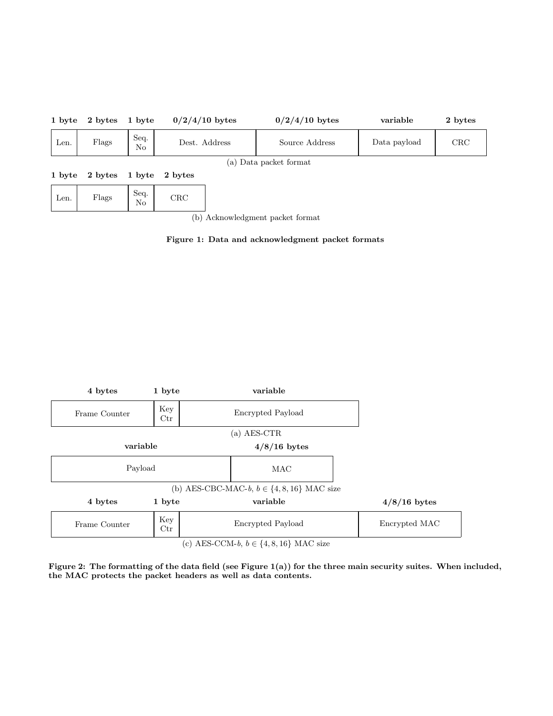| 1 byte                           | 2 bytes | 1 byte           | $0/2/4/10$ bytes | $0/2/4/10$ bytes | variable     | 2 bytes |  |
|----------------------------------|---------|------------------|------------------|------------------|--------------|---------|--|
| Len.                             | Flags   | Seq.<br>$\rm No$ | Dest. Address    | Source Address   | Data payload | CRC     |  |
| (a) Data packet format           |         |                  |                  |                  |              |         |  |
| 1 byte                           | 2 bytes | 1 byte           | 2 bytes          |                  |              |         |  |
| Len.                             | Flags   | Seq.<br>No       | $_{\rm CRC}$     |                  |              |         |  |
| (b) Acknowledgment packet format |         |                  |                  |                  |              |         |  |





Figure 2: The formatting of the data field (see Figure 1(a)) for the three main security suites. When included, the MAC protects the packet headers as well as data contents.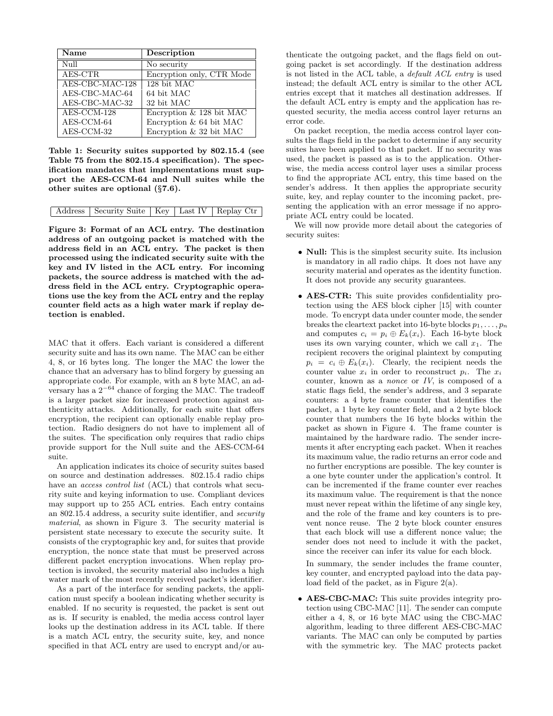| Name            | Description                 |
|-----------------|-----------------------------|
| Null            | No security                 |
| AES-CTR         | Encryption only, CTR Mode   |
| AES-CBC-MAC-128 | 128 bit MAC                 |
| AES-CBC-MAC-64  | 64 bit MAC                  |
| AES-CBC-MAC-32  | 32 bit MAC                  |
| AES-CCM-128     | Encryption $\&$ 128 bit MAC |
| AES-CCM-64      | Encryption $\& 64$ bit MAC  |
| AES-CCM-32      | Encryption $\&$ 32 bit MAC  |

Table 1: Security suites supported by 802.15.4 (see Table 75 from the 802.15.4 specification). The specification mandates that implementations must support the AES-CCM-64 and Null suites while the other suites are optional (§7.6).

| Address   Security Suite   Key   Last IV   Replay Ctr |  |  |
|-------------------------------------------------------|--|--|
|                                                       |  |  |

Figure 3: Format of an ACL entry. The destination address of an outgoing packet is matched with the address field in an ACL entry. The packet is then processed using the indicated security suite with the key and IV listed in the ACL entry. For incoming packets, the source address is matched with the address field in the ACL entry. Cryptographic operations use the key from the ACL entry and the replay counter field acts as a high water mark if replay detection is enabled.

MAC that it offers. Each variant is considered a different security suite and has its own name. The MAC can be either 4, 8, or 16 bytes long. The longer the MAC the lower the chance that an adversary has to blind forgery by guessing an appropriate code. For example, with an 8 byte MAC, an adversary has a  $2^{-64}$  chance of forging the MAC. The tradeoff is a larger packet size for increased protection against authenticity attacks. Additionally, for each suite that offers encryption, the recipient can optionally enable replay protection. Radio designers do not have to implement all of the suites. The specification only requires that radio chips provide support for the Null suite and the AES-CCM-64 suite.

An application indicates its choice of security suites based on source and destination addresses. 802.15.4 radio chips have an *access control list* (ACL) that controls what security suite and keying information to use. Compliant devices may support up to 255 ACL entries. Each entry contains an 802.15.4 address, a security suite identifier, and security material, as shown in Figure 3. The security material is persistent state necessary to execute the security suite. It consists of the cryptographic key and, for suites that provide encryption, the nonce state that must be preserved across different packet encryption invocations. When replay protection is invoked, the security material also includes a high water mark of the most recently received packet's identifier.

As a part of the interface for sending packets, the application must specify a boolean indicating whether security is enabled. If no security is requested, the packet is sent out as is. If security is enabled, the media access control layer looks up the destination address in its ACL table. If there is a match ACL entry, the security suite, key, and nonce specified in that ACL entry are used to encrypt and/or authenticate the outgoing packet, and the flags field on outgoing packet is set accordingly. If the destination address is not listed in the ACL table, a default ACL entry is used instead; the default ACL entry is similar to the other ACL entries except that it matches all destination addresses. If the default ACL entry is empty and the application has requested security, the media access control layer returns an error code.

On packet reception, the media access control layer consults the flags field in the packet to determine if any security suites have been applied to that packet. If no security was used, the packet is passed as is to the application. Otherwise, the media access control layer uses a similar process to find the appropriate ACL entry, this time based on the sender's address. It then applies the appropriate security suite, key, and replay counter to the incoming packet, presenting the application with an error message if no appropriate ACL entry could be located.

We will now provide more detail about the categories of security suites:

- Null: This is the simplest security suite. Its inclusion is mandatory in all radio chips. It does not have any security material and operates as the identity function. It does not provide any security guarantees.
- AES-CTR: This suite provides confidentiality protection using the AES block cipher [15] with counter mode. To encrypt data under counter mode, the sender breaks the cleartext packet into 16-byte blocks  $p_1, \ldots, p_n$ and computes  $c_i = p_i \oplus E_k(x_i)$ . Each 16-byte block uses its own varying counter, which we call  $x_1$ . The recipient recovers the original plaintext by computing  $p_i = c_i \oplus E_k(x_i)$ . Clearly, the recipient needs the counter value  $x_i$  in order to reconstruct  $p_i$ . The  $x_i$ counter, known as a *nonce* or  $IV$ , is composed of a static flags field, the sender's address, and 3 separate counters: a 4 byte frame counter that identifies the packet, a 1 byte key counter field, and a 2 byte block counter that numbers the 16 byte blocks within the packet as shown in Figure 4. The frame counter is maintained by the hardware radio. The sender increments it after encrypting each packet. When it reaches its maximum value, the radio returns an error code and no further encryptions are possible. The key counter is a one byte counter under the application's control. It can be incremented if the frame counter ever reaches its maximum value. The requirement is that the nonce must never repeat within the lifetime of any single key, and the role of the frame and key counters is to prevent nonce reuse. The 2 byte block counter ensures that each block will use a different nonce value; the sender does not need to include it with the packet, since the receiver can infer its value for each block.

In summary, the sender includes the frame counter, key counter, and encrypted payload into the data payload field of the packet, as in Figure 2(a).

• AES-CBC-MAC: This suite provides integrity protection using CBC-MAC [11]. The sender can compute either a 4, 8, or 16 byte MAC using the CBC-MAC algorithm, leading to three different AES-CBC-MAC variants. The MAC can only be computed by parties with the symmetric key. The MAC protects packet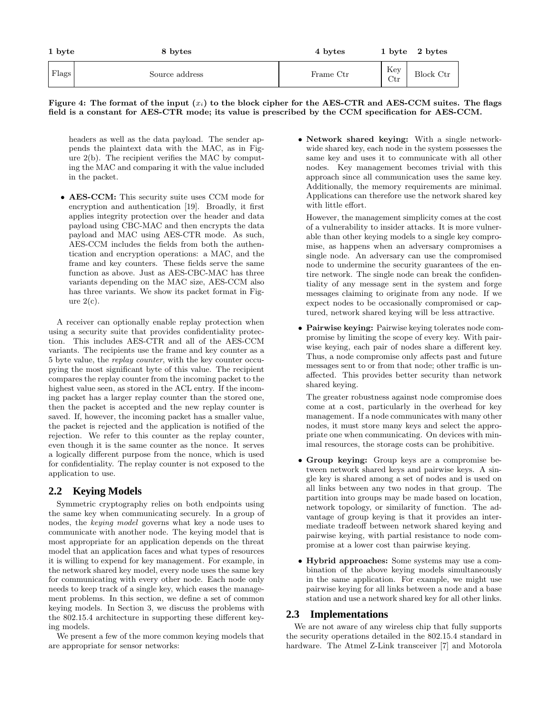| 1 byte | 8 bytes        | 4 bytes   |                     | 1 byte 2 bytes |
|--------|----------------|-----------|---------------------|----------------|
| Flags  | Source address | Frame Ctr | Key<br>$_{\rm Ctr}$ | Block Ctr      |

Figure 4: The format of the input  $(x_i)$  to the block cipher for the AES-CTR and AES-CCM suites. The flags field is a constant for AES-CTR mode; its value is prescribed by the CCM specification for AES-CCM.

headers as well as the data payload. The sender appends the plaintext data with the MAC, as in Figure 2(b). The recipient verifies the MAC by computing the MAC and comparing it with the value included in the packet.

• AES-CCM: This security suite uses CCM mode for encryption and authentication [19]. Broadly, it first applies integrity protection over the header and data payload using CBC-MAC and then encrypts the data payload and MAC using AES-CTR mode. As such, AES-CCM includes the fields from both the authentication and encryption operations: a MAC, and the frame and key counters. These fields serve the same function as above. Just as AES-CBC-MAC has three variants depending on the MAC size, AES-CCM also has three variants. We show its packet format in Figure  $2(c)$ .

A receiver can optionally enable replay protection when using a security suite that provides confidentiality protection. This includes AES-CTR and all of the AES-CCM variants. The recipients use the frame and key counter as a 5 byte value, the replay counter, with the key counter occupying the most significant byte of this value. The recipient compares the replay counter from the incoming packet to the highest value seen, as stored in the ACL entry. If the incoming packet has a larger replay counter than the stored one, then the packet is accepted and the new replay counter is saved. If, however, the incoming packet has a smaller value, the packet is rejected and the application is notified of the rejection. We refer to this counter as the replay counter, even though it is the same counter as the nonce. It serves a logically different purpose from the nonce, which is used for confidentiality. The replay counter is not exposed to the application to use.

# **2.2 Keying Models**

Symmetric cryptography relies on both endpoints using the same key when communicating securely. In a group of nodes, the keying model governs what key a node uses to communicate with another node. The keying model that is most appropriate for an application depends on the threat model that an application faces and what types of resources it is willing to expend for key management. For example, in the network shared key model, every node uses the same key for communicating with every other node. Each node only needs to keep track of a single key, which eases the management problems. In this section, we define a set of common keying models. In Section 3, we discuss the problems with the 802.15.4 architecture in supporting these different keying models.

We present a few of the more common keying models that are appropriate for sensor networks:

• Network shared keying: With a single networkwide shared key, each node in the system possesses the same key and uses it to communicate with all other nodes. Key management becomes trivial with this approach since all communication uses the same key. Additionally, the memory requirements are minimal. Applications can therefore use the network shared key with little effort.

However, the management simplicity comes at the cost of a vulnerability to insider attacks. It is more vulnerable than other keying models to a single key compromise, as happens when an adversary compromises a single node. An adversary can use the compromised node to undermine the security guarantees of the entire network. The single node can break the confidentiality of any message sent in the system and forge messages claiming to originate from any node. If we expect nodes to be occasionally compromised or captured, network shared keying will be less attractive.

• Pairwise keying: Pairwise keying tolerates node compromise by limiting the scope of every key. With pairwise keying, each pair of nodes share a different key. Thus, a node compromise only affects past and future messages sent to or from that node; other traffic is unaffected. This provides better security than network shared keying.

The greater robustness against node compromise does come at a cost, particularly in the overhead for key management. If a node communicates with many other nodes, it must store many keys and select the appropriate one when communicating. On devices with minimal resources, the storage costs can be prohibitive.

- Group keying: Group keys are a compromise between network shared keys and pairwise keys. A single key is shared among a set of nodes and is used on all links between any two nodes in that group. The partition into groups may be made based on location, network topology, or similarity of function. The advantage of group keying is that it provides an intermediate tradeoff between network shared keying and pairwise keying, with partial resistance to node compromise at a lower cost than pairwise keying.
- Hybrid approaches: Some systems may use a combination of the above keying models simultaneously in the same application. For example, we might use pairwise keying for all links between a node and a base station and use a network shared key for all other links.

# **2.3 Implementations**

We are not aware of any wireless chip that fully supports the security operations detailed in the 802.15.4 standard in hardware. The Atmel Z-Link transceiver [7] and Motorola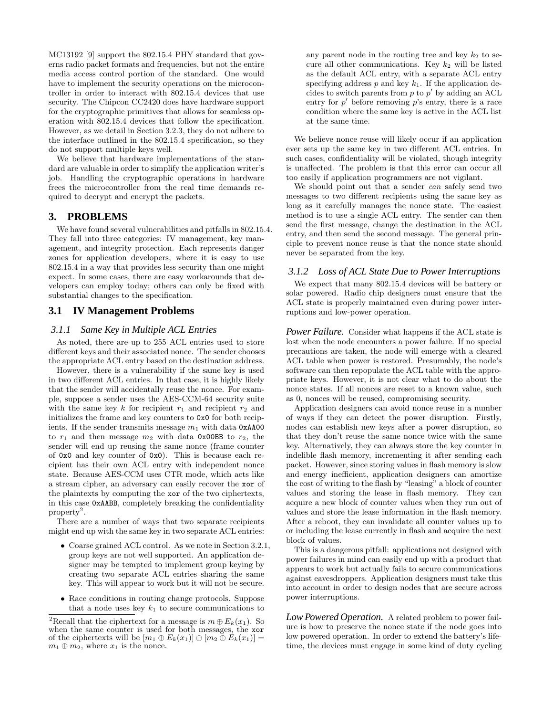MC13192 [9] support the 802.15.4 PHY standard that governs radio packet formats and frequencies, but not the entire media access control portion of the standard. One would have to implement the security operations on the microcontroller in order to interact with 802.15.4 devices that use security. The Chipcon CC2420 does have hardware support for the cryptographic primitives that allows for seamless operation with 802.15.4 devices that follow the specification. However, as we detail in Section 3.2.3, they do not adhere to the interface outlined in the 802.15.4 specification, so they do not support multiple keys well.

We believe that hardware implementations of the standard are valuable in order to simplify the application writer's job. Handling the cryptographic operations in hardware frees the microcontroller from the real time demands required to decrypt and encrypt the packets.

## **3. PROBLEMS**

We have found several vulnerabilities and pitfalls in 802.15.4. They fall into three categories: IV management, key management, and integrity protection. Each represents danger zones for application developers, where it is easy to use 802.15.4 in a way that provides less security than one might expect. In some cases, there are easy workarounds that developers can employ today; others can only be fixed with substantial changes to the specification.

# **3.1 IV Management Problems**

#### *3.1.1 Same Key in Multiple ACL Entries*

As noted, there are up to 255 ACL entries used to store different keys and their associated nonce. The sender chooses the appropriate ACL entry based on the destination address.

However, there is a vulnerability if the same key is used in two different ACL entries. In that case, it is highly likely that the sender will accidentally reuse the nonce. For example, suppose a sender uses the AES-CCM-64 security suite with the same key k for recipient  $r_1$  and recipient  $r_2$  and initializes the frame and key counters to 0x0 for both recipients. If the sender transmits message  $m_1$  with data 0xAA00 to  $r_1$  and then message  $m_2$  with data 0x00BB to  $r_2$ , the sender will end up reusing the same nonce (frame counter of 0x0 and key counter of 0x0). This is because each recipient has their own ACL entry with independent nonce state. Because AES-CCM uses CTR mode, which acts like a stream cipher, an adversary can easily recover the xor of the plaintexts by computing the xor of the two ciphertexts, in this case 0xAABB, completely breaking the confidentiality property 2 .

There are a number of ways that two separate recipients might end up with the same key in two separate ACL entries:

- Coarse grained ACL control. As we note in Section 3.2.1, group keys are not well supported. An application designer may be tempted to implement group keying by creating two separate ACL entries sharing the same key. This will appear to work but it will not be secure.
- Race conditions in routing change protocols. Suppose that a node uses key  $k_1$  to secure communications to

any parent node in the routing tree and key  $k_2$  to secure all other communications. Key  $k_2$  will be listed as the default ACL entry, with a separate ACL entry specifying address  $p$  and key  $k_1$ . If the application decides to switch parents from  $p$  to  $p'$  by adding an ACL entry for  $p'$  before removing  $p$ 's entry, there is a race condition where the same key is active in the ACL list at the same time.

We believe nonce reuse will likely occur if an application ever sets up the same key in two different ACL entries. In such cases, confidentiality will be violated, though integrity is unaffected. The problem is that this error can occur all too easily if application programmers are not vigilant.

We should point out that a sender can safely send two messages to two different recipients using the same key as long as it carefully manages the nonce state. The easiest method is to use a single ACL entry. The sender can then send the first message, change the destination in the ACL entry, and then send the second message. The general principle to prevent nonce reuse is that the nonce state should never be separated from the key.

#### *3.1.2 Loss of ACL State Due to Power Interruptions*

We expect that many 802.15.4 devices will be battery or solar powered. Radio chip designers must ensure that the ACL state is properly maintained even during power interruptions and low-power operation.

*Power Failure.* Consider what happens if the ACL state is lost when the node encounters a power failure. If no special precautions are taken, the node will emerge with a cleared ACL table when power is restored. Presumably, the node's software can then repopulate the ACL table with the appropriate keys. However, it is not clear what to do about the nonce states. If all nonces are reset to a known value, such as 0, nonces will be reused, compromising security.

Application designers can avoid nonce reuse in a number of ways if they can detect the power disruption. Firstly, nodes can establish new keys after a power disruption, so that they don't reuse the same nonce twice with the same key. Alternatively, they can always store the key counter in indelible flash memory, incrementing it after sending each packet. However, since storing values in flash memory is slow and energy inefficient, application designers can amortize the cost of writing to the flash by "leasing" a block of counter values and storing the lease in flash memory. They can acquire a new block of counter values when they run out of values and store the lease information in the flash memory. After a reboot, they can invalidate all counter values up to or including the lease currently in flash and acquire the next block of values.

This is a dangerous pitfall: applications not designed with power failures in mind can easily end up with a product that appears to work but actually fails to secure communications against eavesdroppers. Application designers must take this into account in order to design nodes that are secure across power interruptions.

*Low Powered Operation.* A related problem to power failure is how to preserve the nonce state if the node goes into low powered operation. In order to extend the battery's lifetime, the devices must engage in some kind of duty cycling

<sup>&</sup>lt;sup>2</sup>Recall that the ciphertext for a message is  $m \oplus E_k(x_1)$ . So when the same counter is used for both messages, the xor of the ciphertexts will be  $[m_1 \oplus E_k(x_1)] \oplus [m_2 \oplus E_k(x_1)] =$  $m_1 \oplus m_2$ , where  $x_1$  is the nonce.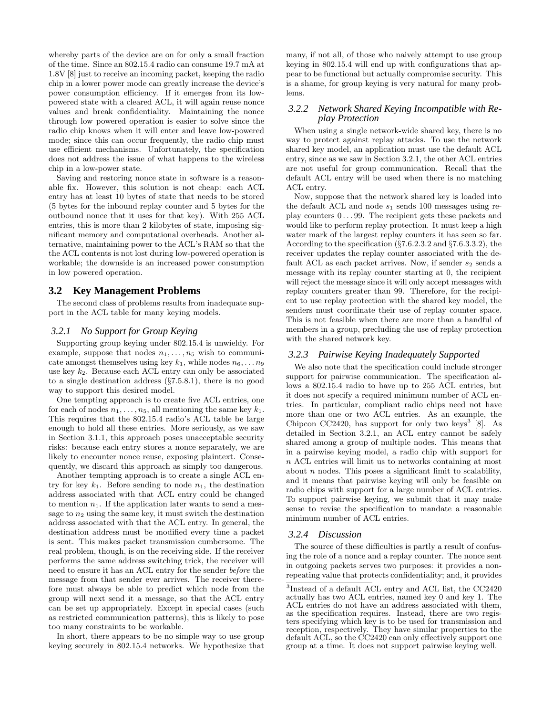whereby parts of the device are on for only a small fraction of the time. Since an 802.15.4 radio can consume 19.7 mA at 1.8V [8] just to receive an incoming packet, keeping the radio chip in a lower power mode can greatly increase the device's power consumption efficiency. If it emerges from its lowpowered state with a cleared ACL, it will again reuse nonce values and break confidentiality. Maintaining the nonce through low powered operation is easier to solve since the radio chip knows when it will enter and leave low-powered mode; since this can occur frequently, the radio chip must use efficient mechanisms. Unfortunately, the specification does not address the issue of what happens to the wireless chip in a low-power state.

Saving and restoring nonce state in software is a reasonable fix. However, this solution is not cheap: each ACL entry has at least 10 bytes of state that needs to be stored (5 bytes for the inbound replay counter and 5 bytes for the outbound nonce that it uses for that key). With 255 ACL entries, this is more than 2 kilobytes of state, imposing significant memory and computational overheads. Another alternative, maintaining power to the ACL's RAM so that the the ACL contents is not lost during low-powered operation is workable; the downside is an increased power consumption in low powered operation.

## **3.2 Key Management Problems**

The second class of problems results from inadequate support in the ACL table for many keying models.

#### *3.2.1 No Support for Group Keying*

Supporting group keying under 802.15.4 is unwieldy. For example, suppose that nodes  $n_1, \ldots, n_5$  wish to communicate amongst themselves using key  $k_1$ , while nodes  $n_6, \ldots n_9$ use key  $k_2$ . Because each ACL entry can only be associated to a single destination address (§7.5.8.1), there is no good way to support this desired model.

One tempting approach is to create five ACL entries, one for each of nodes  $n_1, \ldots, n_5$ , all mentioning the same key  $k_1$ . This requires that the 802.15.4 radio's ACL table be large enough to hold all these entries. More seriously, as we saw in Section 3.1.1, this approach poses unacceptable security risks: because each entry stores a nonce separately, we are likely to encounter nonce reuse, exposing plaintext. Consequently, we discard this approach as simply too dangerous.

Another tempting approach is to create a single ACL entry for key  $k_1$ . Before sending to node  $n_1$ , the destination address associated with that ACL entry could be changed to mention  $n_1$ . If the application later wants to send a message to  $n_2$  using the same key, it must switch the destination address associated with that the ACL entry. In general, the destination address must be modified every time a packet is sent. This makes packet transmission cumbersome. The real problem, though, is on the receiving side. If the receiver performs the same address switching trick, the receiver will need to ensure it has an ACL entry for the sender before the message from that sender ever arrives. The receiver therefore must always be able to predict which node from the group will next send it a message, so that the ACL entry can be set up appropriately. Except in special cases (such as restricted communication patterns), this is likely to pose too many constraints to be workable.

In short, there appears to be no simple way to use group keying securely in 802.15.4 networks. We hypothesize that many, if not all, of those who naively attempt to use group keying in 802.15.4 will end up with configurations that appear to be functional but actually compromise security. This is a shame, for group keying is very natural for many problems.

#### *3.2.2 Network Shared Keying Incompatible with Replay Protection*

When using a single network-wide shared key, there is no way to protect against replay attacks. To use the network shared key model, an application must use the default ACL entry, since as we saw in Section 3.2.1, the other ACL entries are not useful for group communication. Recall that the default ACL entry will be used when there is no matching ACL entry.

Now, suppose that the network shared key is loaded into the default ACL and node  $s_1$  sends 100 messages using replay counters  $0 \ldots 99$ . The recipient gets these packets and would like to perform replay protection. It must keep a high water mark of the largest replay counters it has seen so far. According to the specification (§7.6.2.3.2 and §7.6.3.3.2), the receiver updates the replay counter associated with the default ACL as each packet arrives. Now, if sender  $s_2$  sends a message with its replay counter starting at 0, the recipient will reject the message since it will only accept messages with replay counters greater than 99. Therefore, for the recipient to use replay protection with the shared key model, the senders must coordinate their use of replay counter space. This is not feasible when there are more than a handful of members in a group, precluding the use of replay protection with the shared network key.

#### *3.2.3 Pairwise Keying Inadequately Supported*

We also note that the specification could include stronger support for pairwise communication. The specification allows a 802.15.4 radio to have up to 255 ACL entries, but it does not specify a required minimum number of ACL entries. In particular, compliant radio chips need not have more than one or two ACL entries. As an example, the Chipcon CC2420, has support for only two keys<sup>3</sup> [8]. As detailed in Section 3.2.1, an ACL entry cannot be safely shared among a group of multiple nodes. This means that in a pairwise keying model, a radio chip with support for n ACL entries will limit us to networks containing at most about  $n$  nodes. This poses a significant limit to scalability, and it means that pairwise keying will only be feasible on radio chips with support for a large number of ACL entries. To support pairwise keying, we submit that it may make sense to revise the specification to mandate a reasonable minimum number of ACL entries.

#### *3.2.4 Discussion*

The source of these difficulties is partly a result of confusing the role of a nonce and a replay counter. The nonce sent in outgoing packets serves two purposes: it provides a nonrepeating value that protects confidentiality; and, it provides

<sup>3</sup> Instead of a default ACL entry and ACL list, the CC2420 actually has two ACL entries, named key 0 and key 1. The ACL entries do not have an address associated with them, as the specification requires. Instead, there are two registers specifying which key is to be used for transmission and reception, respectively. They have similar properties to the default ACL, so the CC2420 can only effectively support one group at a time. It does not support pairwise keying well.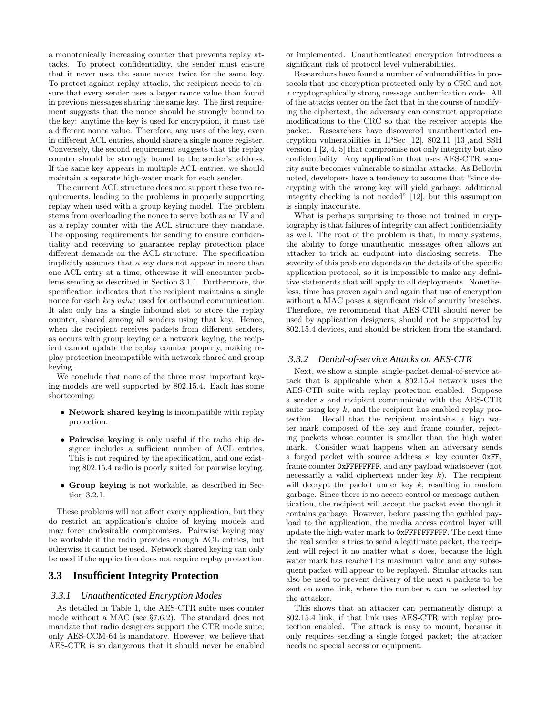a monotonically increasing counter that prevents replay attacks. To protect confidentiality, the sender must ensure that it never uses the same nonce twice for the same key. To protect against replay attacks, the recipient needs to ensure that every sender uses a larger nonce value than found in previous messages sharing the same key. The first requirement suggests that the nonce should be strongly bound to the key: anytime the key is used for encryption, it must use a different nonce value. Therefore, any uses of the key, even in different ACL entries, should share a single nonce register. Conversely, the second requirement suggests that the replay counter should be strongly bound to the sender's address. If the same key appears in multiple ACL entries, we should maintain a separate high-water mark for each sender.

The current ACL structure does not support these two requirements, leading to the problems in properly supporting replay when used with a group keying model. The problem stems from overloading the nonce to serve both as an IV and as a replay counter with the ACL structure they mandate. The opposing requirements for sending to ensure confidentiality and receiving to guarantee replay protection place different demands on the ACL structure. The specification implicitly assumes that a key does not appear in more than one ACL entry at a time, otherwise it will encounter problems sending as described in Section 3.1.1. Furthermore, the specification indicates that the recipient maintains a single nonce for each key value used for outbound communication. It also only has a single inbound slot to store the replay counter, shared among all senders using that key. Hence, when the recipient receives packets from different senders, as occurs with group keying or a network keying, the recipient cannot update the replay counter properly, making replay protection incompatible with network shared and group keying.

We conclude that none of the three most important keying models are well supported by 802.15.4. Each has some shortcoming:

- Network shared keying is incompatible with replay protection.
- Pairwise keying is only useful if the radio chip designer includes a sufficient number of ACL entries. This is not required by the specification, and one existing 802.15.4 radio is poorly suited for pairwise keying.
- Group keying is not workable, as described in Section 3.2.1.

These problems will not affect every application, but they do restrict an application's choice of keying models and may force undesirable compromises. Pairwise keying may be workable if the radio provides enough ACL entries, but otherwise it cannot be used. Network shared keying can only be used if the application does not require replay protection.

## **3.3 Insufficient Integrity Protection**

#### *3.3.1 Unauthenticated Encryption Modes*

As detailed in Table 1, the AES-CTR suite uses counter mode without a MAC (see §7.6.2). The standard does not mandate that radio designers support the CTR mode suite; only AES-CCM-64 is mandatory. However, we believe that AES-CTR is so dangerous that it should never be enabled or implemented. Unauthenticated encryption introduces a significant risk of protocol level vulnerabilities.

Researchers have found a number of vulnerabilities in protocols that use encryption protected only by a CRC and not a cryptographically strong message authentication code. All of the attacks center on the fact that in the course of modifying the ciphertext, the adversary can construct appropriate modifications to the CRC so that the receiver accepts the packet. Researchers have discovered unauthenticated encryption vulnerabilities in IPSec [12], 802.11 [13],and SSH version 1 [2, 4, 5] that compromise not only integrity but also confidentiality. Any application that uses AES-CTR security suite becomes vulnerable to similar attacks. As Bellovin noted, developers have a tendency to assume that "since decrypting with the wrong key will yield garbage, additional integrity checking is not needed" [12], but this assumption is simply inaccurate.

What is perhaps surprising to those not trained in cryptography is that failures of integrity can affect confidentiality as well. The root of the problem is that, in many systems, the ability to forge unauthentic messages often allows an attacker to trick an endpoint into disclosing secrets. The severity of this problem depends on the details of the specific application protocol, so it is impossible to make any definitive statements that will apply to all deployments. Nonetheless, time has proven again and again that use of encryption without a MAC poses a significant risk of security breaches. Therefore, we recommend that AES-CTR should never be used by application designers, should not be supported by 802.15.4 devices, and should be stricken from the standard.

#### *3.3.2 Denial-of-service Attacks on AES-CTR*

Next, we show a simple, single-packet denial-of-service attack that is applicable when a 802.15.4 network uses the AES-CTR suite with replay protection enabled. Suppose a sender s and recipient communicate with the AES-CTR suite using key  $k$ , and the recipient has enabled replay protection. Recall that the recipient maintains a high water mark composed of the key and frame counter, rejecting packets whose counter is smaller than the high water mark. Consider what happens when an adversary sends a forged packet with source address s, key counter 0xFF, frame counter 0xFFFFFFFF, and any payload whatsoever (not necessarily a valid ciphertext under key  $k$ ). The recipient will decrypt the packet under key  $k$ , resulting in random garbage. Since there is no access control or message authentication, the recipient will accept the packet even though it contains garbage. However, before passing the garbled payload to the application, the media access control layer will update the high water mark to 0xFFFFFFFFFF. The next time the real sender s tries to send a legitimate packet, the recipient will reject it no matter what s does, because the high water mark has reached its maximum value and any subsequent packet will appear to be replayed. Similar attacks can also be used to prevent delivery of the next  $n$  packets to be sent on some link, where the number  $n$  can be selected by the attacker.

This shows that an attacker can permanently disrupt a 802.15.4 link, if that link uses AES-CTR with replay protection enabled. The attack is easy to mount, because it only requires sending a single forged packet; the attacker needs no special access or equipment.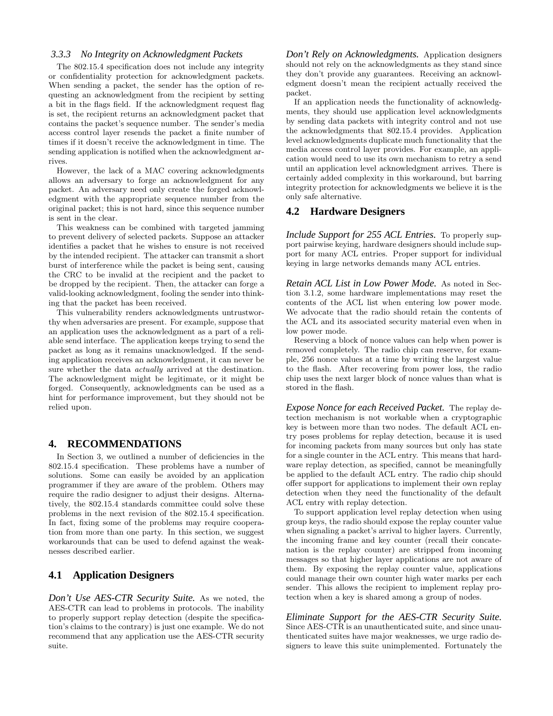#### *3.3.3 No Integrity on Acknowledgment Packets*

The 802.15.4 specification does not include any integrity or confidentiality protection for acknowledgment packets. When sending a packet, the sender has the option of requesting an acknowledgment from the recipient by setting a bit in the flags field. If the acknowledgment request flag is set, the recipient returns an acknowledgment packet that contains the packet's sequence number. The sender's media access control layer resends the packet a finite number of times if it doesn't receive the acknowledgment in time. The sending application is notified when the acknowledgment arrives.

However, the lack of a MAC covering acknowledgments allows an adversary to forge an acknowledgment for any packet. An adversary need only create the forged acknowledgment with the appropriate sequence number from the original packet; this is not hard, since this sequence number is sent in the clear.

This weakness can be combined with targeted jamming to prevent delivery of selected packets. Suppose an attacker identifies a packet that he wishes to ensure is not received by the intended recipient. The attacker can transmit a short burst of interference while the packet is being sent, causing the CRC to be invalid at the recipient and the packet to be dropped by the recipient. Then, the attacker can forge a valid-looking acknowledgment, fooling the sender into thinking that the packet has been received.

This vulnerability renders acknowledgments untrustworthy when adversaries are present. For example, suppose that an application uses the acknowledgment as a part of a reliable send interface. The application keeps trying to send the packet as long as it remains unacknowledged. If the sending application receives an acknowledgment, it can never be sure whether the data *actually* arrived at the destination. The acknowledgment might be legitimate, or it might be forged. Consequently, acknowledgments can be used as a hint for performance improvement, but they should not be relied upon.

# **4. RECOMMENDATIONS**

In Section 3, we outlined a number of deficiencies in the 802.15.4 specification. These problems have a number of solutions. Some can easily be avoided by an application programmer if they are aware of the problem. Others may require the radio designer to adjust their designs. Alternatively, the 802.15.4 standards committee could solve these problems in the next revision of the 802.15.4 specification. In fact, fixing some of the problems may require cooperation from more than one party. In this section, we suggest workarounds that can be used to defend against the weaknesses described earlier.

# **4.1 Application Designers**

*Don't Use AES-CTR Security Suite.* As we noted, the AES-CTR can lead to problems in protocols. The inability to properly support replay detection (despite the specification's claims to the contrary) is just one example. We do not recommend that any application use the AES-CTR security suite.

*Don't Rely on Acknowledgments.* Application designers should not rely on the acknowledgments as they stand since they don't provide any guarantees. Receiving an acknowledgment doesn't mean the recipient actually received the packet.

If an application needs the functionality of acknowledgments, they should use application level acknowledgments by sending data packets with integrity control and not use the acknowledgments that 802.15.4 provides. Application level acknowledgments duplicate much functionality that the media access control layer provides. For example, an application would need to use its own mechanism to retry a send until an application level acknowledgment arrives. There is certainly added complexity in this workaround, but barring integrity protection for acknowledgments we believe it is the only safe alternative.

#### **4.2 Hardware Designers**

*Include Support for 255 ACL Entries.* To properly support pairwise keying, hardware designers should include support for many ACL entries. Proper support for individual keying in large networks demands many ACL entries.

*Retain ACL List in Low Power Mode.* As noted in Section 3.1.2, some hardware implementations may reset the contents of the ACL list when entering low power mode. We advocate that the radio should retain the contents of the ACL and its associated security material even when in low power mode.

Reserving a block of nonce values can help when power is removed completely. The radio chip can reserve, for example, 256 nonce values at a time by writing the largest value to the flash. After recovering from power loss, the radio chip uses the next larger block of nonce values than what is stored in the flash.

*Expose Nonce for each Received Packet.* The replay detection mechanism is not workable when a cryptographic key is between more than two nodes. The default ACL entry poses problems for replay detection, because it is used for incoming packets from many sources but only has state for a single counter in the ACL entry. This means that hardware replay detection, as specified, cannot be meaningfully be applied to the default ACL entry. The radio chip should offer support for applications to implement their own replay detection when they need the functionality of the default ACL entry with replay detection.

To support application level replay detection when using group keys, the radio should expose the replay counter value when signaling a packet's arrival to higher layers. Currently, the incoming frame and key counter (recall their concatenation is the replay counter) are stripped from incoming messages so that higher layer applications are not aware of them. By exposing the replay counter value, applications could manage their own counter high water marks per each sender. This allows the recipient to implement replay protection when a key is shared among a group of nodes.

*Eliminate Support for the AES-CTR Security Suite.* Since AES-CTR is an unauthenticated suite, and since unauthenticated suites have major weaknesses, we urge radio designers to leave this suite unimplemented. Fortunately the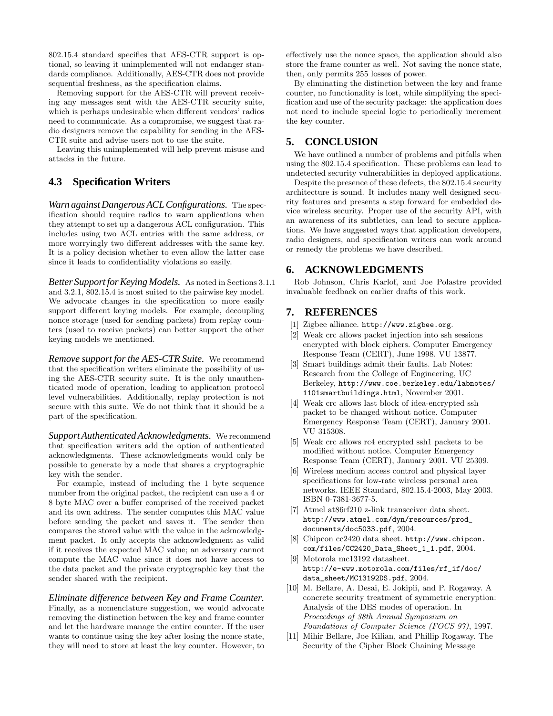802.15.4 standard specifies that AES-CTR support is optional, so leaving it unimplemented will not endanger standards compliance. Additionally, AES-CTR does not provide sequential freshness, as the specification claims.

Removing support for the AES-CTR will prevent receiving any messages sent with the AES-CTR security suite, which is perhaps undesirable when different vendors' radios need to communicate. As a compromise, we suggest that radio designers remove the capability for sending in the AES-CTR suite and advise users not to use the suite.

Leaving this unimplemented will help prevent misuse and attacks in the future.

# **4.3 Specification Writers**

*Warn against DangerousACLConfigurations.* The specification should require radios to warn applications when they attempt to set up a dangerous ACL configuration. This includes using two ACL entries with the same address, or more worryingly two different addresses with the same key. It is a policy decision whether to even allow the latter case since it leads to confidentiality violations so easily.

*Better Support for Keying Models.* As noted in Sections 3.1.1 and 3.2.1, 802.15.4 is most suited to the pairwise key model. We advocate changes in the specification to more easily support different keying models. For example, decoupling nonce storage (used for sending packets) from replay counters (used to receive packets) can better support the other keying models we mentioned.

*Remove support for the AES-CTR Suite.* We recommend that the specification writers eliminate the possibility of using the AES-CTR security suite. It is the only unauthenticated mode of operation, leading to application protocol level vulnerabilities. Additionally, replay protection is not secure with this suite. We do not think that it should be a part of the specification.

*SupportAuthenticatedAcknowledgments.* We recommend that specification writers add the option of authenticated acknowledgments. These acknowledgments would only be possible to generate by a node that shares a cryptographic key with the sender.

For example, instead of including the 1 byte sequence number from the original packet, the recipient can use a 4 or 8 byte MAC over a buffer comprised of the received packet and its own address. The sender computes this MAC value before sending the packet and saves it. The sender then compares the stored value with the value in the acknowledgment packet. It only accepts the acknowledgment as valid if it receives the expected MAC value; an adversary cannot compute the MAC value since it does not have access to the data packet and the private cryptographic key that the sender shared with the recipient.

*Eliminate difference between Key and Frame Counter.* Finally, as a nomenclature suggestion, we would advocate removing the distinction between the key and frame counter and let the hardware manage the entire counter. If the user wants to continue using the key after losing the nonce state, they will need to store at least the key counter. However, to effectively use the nonce space, the application should also store the frame counter as well. Not saving the nonce state, then, only permits 255 losses of power.

By eliminating the distinction between the key and frame counter, no functionality is lost, while simplifying the specification and use of the security package: the application does not need to include special logic to periodically increment the key counter.

# **5. CONCLUSION**

We have outlined a number of problems and pitfalls when using the 802.15.4 specification. These problems can lead to undetected security vulnerabilities in deployed applications.

Despite the presence of these defects, the 802.15.4 security architecture is sound. It includes many well designed security features and presents a step forward for embedded device wireless security. Proper use of the security API, with an awareness of its subtleties, can lead to secure applications. We have suggested ways that application developers, radio designers, and specification writers can work around or remedy the problems we have described.

# **6. ACKNOWLEDGMENTS**

Rob Johnson, Chris Karlof, and Joe Polastre provided invaluable feedback on earlier drafts of this work.

# **7. REFERENCES**

- [1] Zigbee alliance. http://www.zigbee.org.
- [2] Weak crc allows packet injection into ssh sessions encrypted with block ciphers. Computer Emergency Response Team (CERT), June 1998. VU 13877.
- [3] Smart buildings admit their faults. Lab Notes: Research from the College of Engineering, UC Berkeley, http://www.coe.berkeley.edu/labnotes/ 1101smartbuildings.html, November 2001.
- [4] Weak crc allows last block of idea-encrypted ssh packet to be changed without notice. Computer Emergency Response Team (CERT), January 2001. VU 315308.
- [5] Weak crc allows rc4 encrypted ssh1 packets to be modified without notice. Computer Emergency Response Team (CERT), January 2001. VU 25309.
- [6] Wireless medium access control and physical layer specifications for low-rate wireless personal area networks. IEEE Standard, 802.15.4-2003, May 2003. ISBN 0-7381-3677-5.
- [7] Atmel at86rf210 z-link transceiver data sheet. http://www.atmel.com/dyn/resources/prod\_ documents/doc5033.pdf, 2004.
- [8] Chipcon cc2420 data sheet. http://www.chipcon. com/files/CC2420\_Data\_Sheet\_1\_1.pdf, 2004.
- [9] Motorola mc13192 datasheet. http://e-www.motorola.com/files/rf\_if/doc/ data\_sheet/MC13192DS.pdf, 2004.
- [10] M. Bellare, A. Desai, E. Jokipii, and P. Rogaway. A concrete security treatment of symmetric encryption: Analysis of the DES modes of operation. In Proceedings of 38th Annual Symposium on Foundations of Computer Science (FOCS 97), 1997.
- [11] Mihir Bellare, Joe Kilian, and Phillip Rogaway. The Security of the Cipher Block Chaining Message